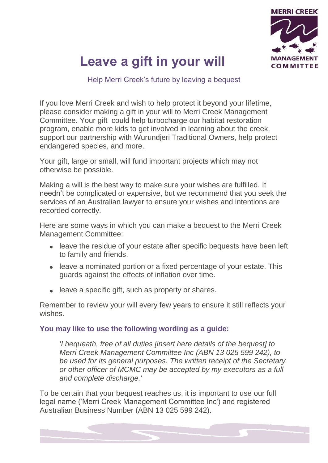

# **Leave a gift in your will**

Help Merri Creek's future by leaving a bequest

If you love Merri Creek and wish to help protect it beyond your lifetime, please consider making a gift in your will to Merri Creek Management Committee. Your gift could help turbocharge our habitat restoration program, enable more kids to get involved in learning about the creek, support our partnership with Wurundjeri Traditional Owners, help protect endangered species, and more.

Your gift, large or small, will fund important projects which may not otherwise be possible.

Making a will is the best way to make sure your wishes are fulfilled. It needn't be complicated or expensive, but we recommend that you seek the services of an Australian lawyer to ensure your wishes and intentions are recorded correctly.

Here are some ways in which you can make a bequest to the Merri Creek Management Committee:

- leave the residue of your estate after specific bequests have been left to family and friends.
- leave a nominated portion or a fixed percentage of your estate. This guards against the effects of inflation over time.
- leave a specific gift, such as property or shares.

Remember to review your will every few years to ensure it still reflects your wishes.

#### **You may like to use the following wording as a guide:**

*'I bequeath, free of all duties [insert here details of the bequest] to Merri Creek Management Committee Inc (ABN 13 025 599 242), to be used for its general purposes. The written receipt of the Secretary or other officer of MCMC may be accepted by my executors as a full and complete discharge.'* 

To be certain that your bequest reaches us, it is important to use our full legal name ('Merri Creek Management Committee Inc') and registered Australian Business Number (ABN 13 025 599 242).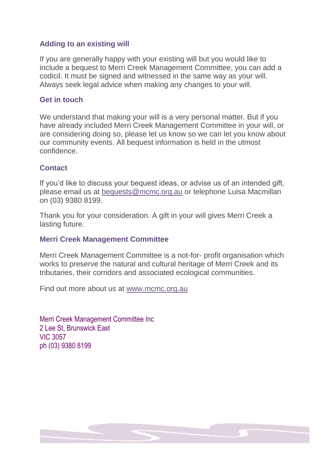#### **Adding to an existing will**

If you are generally happy with your existing will but you would like to include a bequest to Merri Creek Management Committee, you can add a codicil. It must be signed and witnessed in the same way as your will. Always seek legal advice when making any changes to your will.

#### **Get in touch**

We understand that making your will is a very personal matter. But if you have already included Merri Creek Management Committee in your will, or are considering doing so, please let us know so we can let you know about our community events. All bequest information is held in the utmost confidence.

#### **Contact**

If you'd like to discuss your bequest ideas, or advise us of an intended gift, please email us at [bequests@mcmc.org.au](mailto:bequests@mcmc.org.au) or telephone Luisa Macmillan on (03) 9380 8199.

Thank you for your consideration. A gift in your will gives Merri Creek a lasting future.

#### **Merri Creek Management Committee**

Merri Creek Management Committee is a not-for- profit organisation which works to preserve the natural and cultural heritage of Merri Creek and its tributaries, their corridors and associated ecological communities.

Find out more about us at [www.mcmc.org.au](http://www.mcmc.org.au/)

Merri Creek Management Committee Inc 2 Lee St, Brunswick East VIC 3057 ph (03) 9380 8199